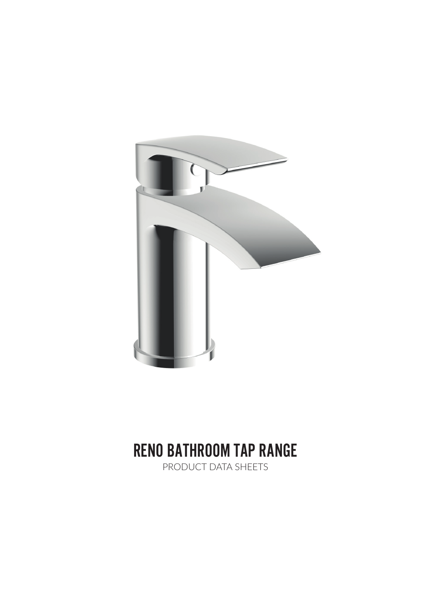

# RENO BATHROOM TAP RANGE

PRODUCT DATA SHEETS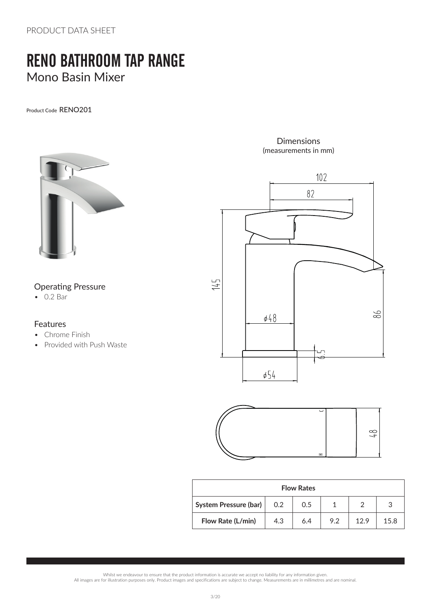PRODUCT DATA SHEFT

# RENO BATHROOM TAP RANGE Mono Basin Mixer

Product Code RENO201



### Operating Pressure

• 0.2 Bar

#### Features

- Chrome Finish
- Provided with Push Waste

Dimensions (measurements in mm)





| <b>Flow Rates</b>     |     |     |     |     |      |  |
|-----------------------|-----|-----|-----|-----|------|--|
| System Pressure (bar) | 0.2 | 0.5 |     |     |      |  |
| Flow Rate (L/min)     | 4.3 | 6.4 | 9.2 | 129 | 15.8 |  |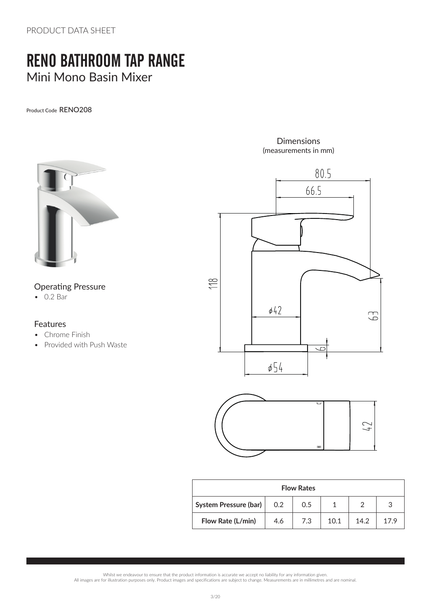PRODUCT DATA SHEFT

### RENO BATHROOM TAP RANGE Mini Mono Basin Mixer

Product Code RENO208



#### Operating Pressure

• 0.2 Bar

#### Features

- Chrome Finish
- Provided with Push Waste

Dimensions (measurements in mm)



| <b>Flow Rates</b>     |     |     |      |      |      |  |  |
|-----------------------|-----|-----|------|------|------|--|--|
| System Pressure (bar) | 0.2 | 0.5 |      |      |      |  |  |
| Flow Rate (L/min)     | 4.6 | 7.3 | 10.1 | 14.2 | 17 G |  |  |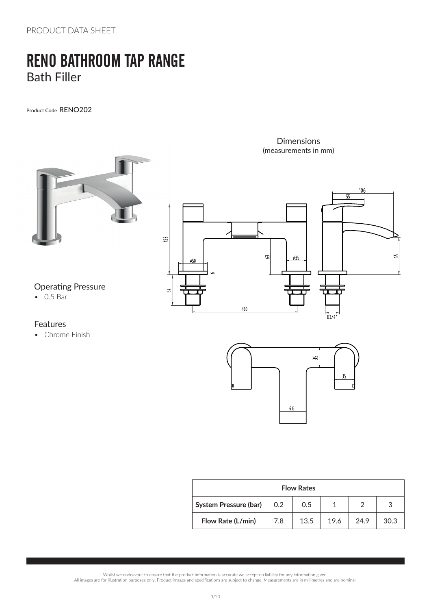PRODUCT DATA SHEET

# RENO BATHROOM TAP RANGE Bath Filler

Product Code RENO202



#### Features

• Chrome Finish



Dimensions

| <b>Flow Rates</b>            |     |      |      |      |      |  |
|------------------------------|-----|------|------|------|------|--|
| <b>System Pressure (bar)</b> | 0.2 | 0.5  |      |      | 3    |  |
| Flow Rate (L/min)            | 7.8 | 13.5 | 19.6 | 24.9 | 30.3 |  |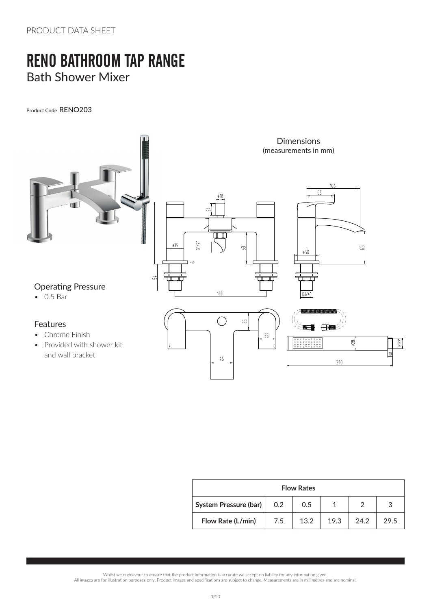# RENO BATHROOM TAP RANGE Bath Shower Mixer

Product Code RENO203



 $\sqrt{46}$ 

• Provided with shower kit and wall bracket

| <b>Flow Rates</b>     |     |      |      |      |      |  |
|-----------------------|-----|------|------|------|------|--|
| System Pressure (bar) | 0.2 | 0.5  |      |      |      |  |
| Flow Rate (L/min)     | 7.5 | 13.2 | 19.3 | 24.2 | 29.5 |  |

 $5/2$ 

 $\sqrt{10}$ 

 $\frac{1}{2}$ 

 $210$